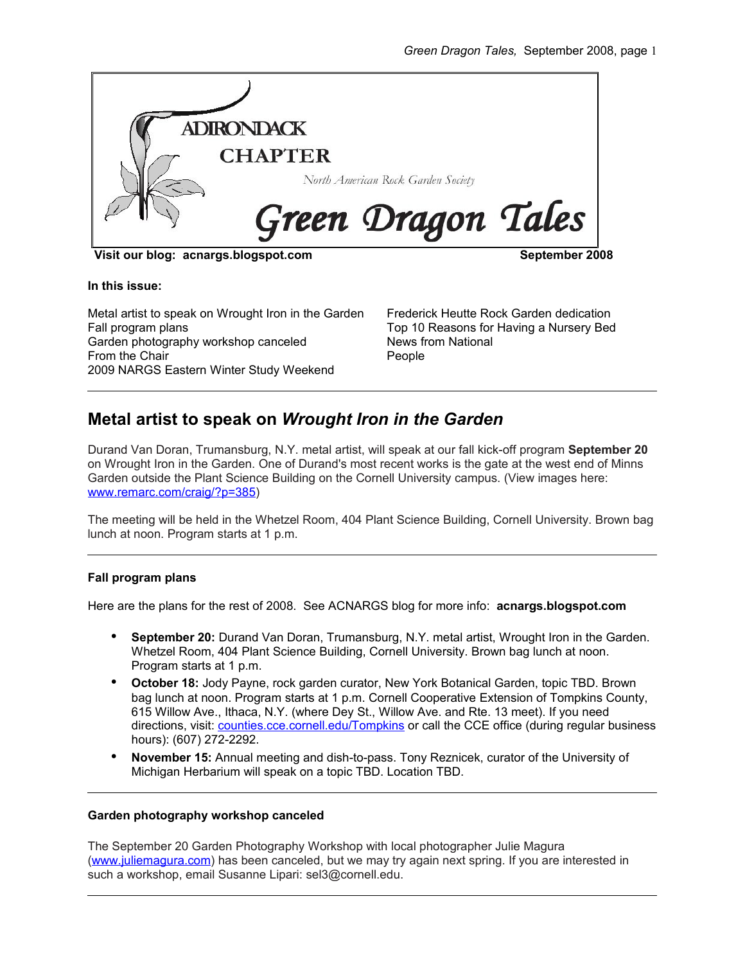

**Visit our blog: acnargs.blogspot.com September 2008**

**In this issue:**

Metal artist to speak on Wrought Iron in the Garden Fall program plans Garden photography workshop canceled From the Chair 2009 NARGS Eastern Winter Study Weekend

Frederick Heutte Rock Garden dedication Top 10 Reasons for Having a Nursery Bed News from National People

# **Metal artist to speak on** *Wrought Iron in the Garden*

Durand Van Doran, Trumansburg, N.Y. metal artist, will speak at our fall kick-off program **September 20** on Wrought Iron in the Garden. One of Durand's most recent works is the gate at the west end of Minns Garden outside the Plant Science Building on the Cornell University campus. (View images here: [www.remarc.com/craig/?p=385\)](http://www.remarc.com/craig/?p=385)

The meeting will be held in the Whetzel Room, 404 Plant Science Building, Cornell University. Brown bag lunch at noon. Program starts at 1 p.m.

## **Fall program plans**

Here are the plans for the rest of 2008. See ACNARGS blog for more info: **acnargs.blogspot.com**

- **September 20:** Durand Van Doran, Trumansburg, N.Y. metal artist, Wrought Iron in the Garden. Whetzel Room, 404 Plant Science Building, Cornell University. Brown bag lunch at noon. Program starts at 1 p.m.
- **October 18:** Jody Payne, rock garden curator, New York Botanical Garden, topic TBD. Brown bag lunch at noon. Program starts at 1 p.m. Cornell Cooperative Extension of Tompkins County, 615 Willow Ave., Ithaca, N.Y. (where Dey St., Willow Ave. and Rte. 13 meet). If you need directions, visit: [counties.cce.cornell.edu/Tompkins](http://counties.cce.cornell.edu/Tompkins) or call the CCE office (during regular business hours): (607) 272-2292.
- **November 15:** Annual meeting and dish-to-pass. Tony Reznicek, curator of the University of Michigan Herbarium will speak on a topic TBD. Location TBD.

## **Garden photography workshop canceled**

The September 20 Garden Photography Workshop with local photographer Julie Magura [\(www.juliemagura.com\)](http://www.juliemagura.com/) has been canceled, but we may try again next spring. If you are interested in such a workshop, email Susanne Lipari: sel3@cornell.edu.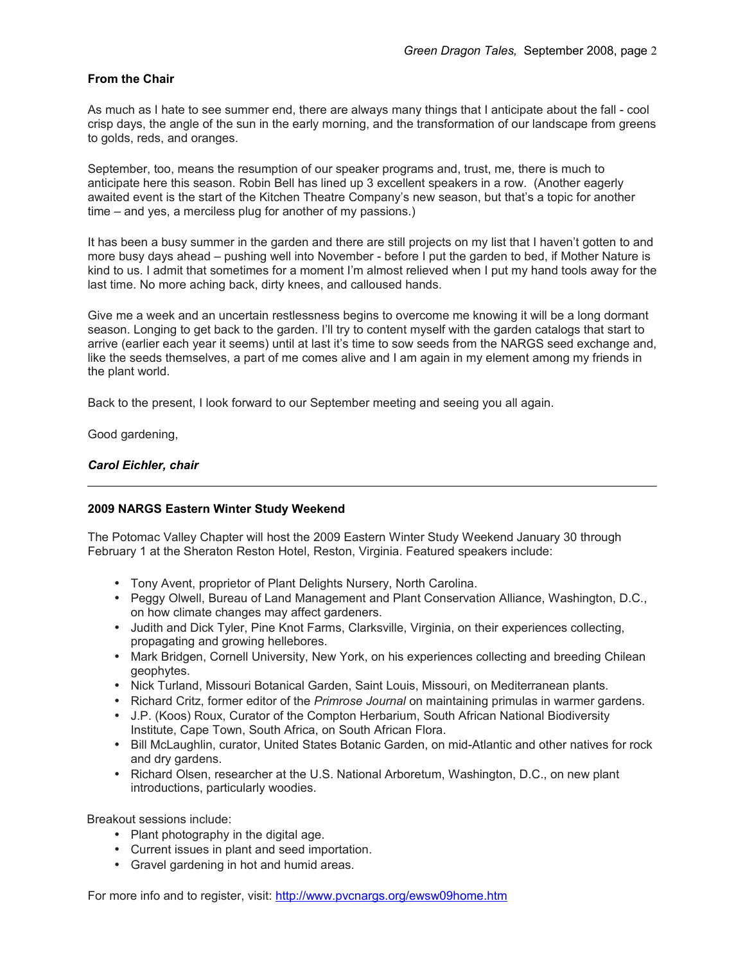## **From the Chair**

As much as I hate to see summer end, there are always many things that I anticipate about the fall - cool crisp days, the angle of the sun in the early morning, and the transformation of our landscape from greens to golds, reds, and oranges.

September, too, means the resumption of our speaker programs and, trust, me, there is much to anticipate here this season. Robin Bell has lined up 3 excellent speakers in a row. (Another eagerly awaited event is the start of the Kitchen Theatre Company's new season, but that's a topic for another time – and yes, a merciless plug for another of my passions.)

It has been a busy summer in the garden and there are still projects on my list that I haven't gotten to and more busy days ahead – pushing well into November - before I put the garden to bed, if Mother Nature is kind to us. I admit that sometimes for a moment I'm almost relieved when I put my hand tools away for the last time. No more aching back, dirty knees, and calloused hands.

Give me a week and an uncertain restlessness begins to overcome me knowing it will be a long dormant season. Longing to get back to the garden. I'll try to content myself with the garden catalogs that start to arrive (earlier each year it seems) until at last it's time to sow seeds from the NARGS seed exchange and, like the seeds themselves, a part of me comes alive and I am again in my element among my friends in the plant world.

Back to the present, I look forward to our September meeting and seeing you all again.

Good gardening,

### *Carol Eichler, chair*

## **2009 NARGS Eastern Winter Study Weekend**

The Potomac Valley Chapter will host the 2009 Eastern Winter Study Weekend January 30 through February 1 at the Sheraton Reston Hotel, Reston, Virginia. Featured speakers include:

- Tony Avent, proprietor of Plant Delights Nursery, North Carolina.
- Peggy Olwell, Bureau of Land Management and Plant Conservation Alliance, Washington, D.C., on how climate changes may affect gardeners.
- Judith and Dick Tyler, Pine Knot Farms, Clarksville, Virginia, on their experiences collecting, propagating and growing hellebores.
- Mark Bridgen, Cornell University, New York, on his experiences collecting and breeding Chilean geophytes.
- Nick Turland, Missouri Botanical Garden, Saint Louis, Missouri, on Mediterranean plants.
- Richard Critz, former editor of the *Primrose Journal* on maintaining primulas in warmer gardens.
- J.P. (Koos) Roux, Curator of the Compton Herbarium, South African National Biodiversity Institute, Cape Town, South Africa, on South African Flora.
- Bill McLaughlin, curator, United States Botanic Garden, on mid-Atlantic and other natives for rock and dry gardens.
- Richard Olsen, researcher at the U.S. National Arboretum, Washington, D.C., on new plant introductions, particularly woodies.

Breakout sessions include:

- Plant photography in the digital age.
- Current issues in plant and seed importation.
- Gravel gardening in hot and humid areas.

For more info and to register, visit:<http://www.pvcnargs.org/ewsw09home.htm>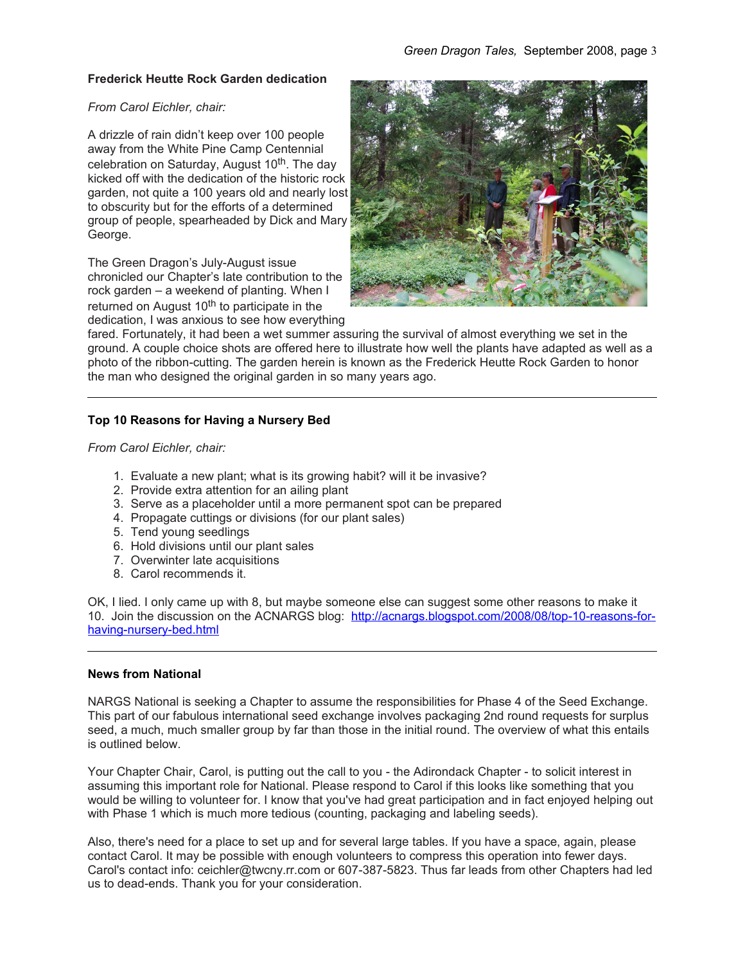#### **Frederick Heutte Rock Garden dedication**

#### *From Carol Eichler, chair:*

A drizzle of rain didn't keep over 100 people away from the White Pine Camp Centennial celebration on Saturday, August 10<sup>th</sup>, The day kicked off with the dedication of the historic rock garden, not quite a 100 years old and nearly lost to obscurity but for the efforts of a determined group of people, spearheaded by Dick and Mary George.

The Green Dragon's July-August issue chronicled our Chapter's late contribution to the rock garden – a weekend of planting. When I returned on August 10<sup>th</sup> to participate in the dedication, I was anxious to see how everything



fared. Fortunately, it had been a wet summer assuring the survival of almost everything we set in the ground. A couple choice shots are offered here to illustrate how well the plants have adapted as well as a photo of the ribbon-cutting. The garden herein is known as the Frederick Heutte Rock Garden to honor the man who designed the original garden in so many years ago.

## **Top 10 Reasons for Having a Nursery Bed**

*From Carol Eichler, chair:*

- 1. Evaluate a new plant; what is its growing habit? will it be invasive?
- 2. Provide extra attention for an ailing plant
- 3. Serve as a placeholder until a more permanent spot can be prepared
- 4. Propagate cuttings or divisions (for our plant sales)
- 5. Tend young seedlings
- 6. Hold divisions until our plant sales
- 7. Overwinter late acquisitions
- 8. Carol recommends it.

OK, I lied. I only came up with 8, but maybe someone else can suggest some other reasons to make it 10. Join the discussion on the ACNARGS blog: [http://acnargs.blogspot.com/2008/08/top-10-reasons-for](http://acnargs.blogspot.com/2008/08/top-10-reasons-for-having-nursery-bed.html)[having-nursery-bed.html](http://acnargs.blogspot.com/2008/08/top-10-reasons-for-having-nursery-bed.html)

#### **News from National**

NARGS National is seeking a Chapter to assume the responsibilities for Phase 4 of the Seed Exchange. This part of our fabulous international seed exchange involves packaging 2nd round requests for surplus seed, a much, much smaller group by far than those in the initial round. The overview of what this entails is outlined below.

Your Chapter Chair, Carol, is putting out the call to you - the Adirondack Chapter - to solicit interest in assuming this important role for National. Please respond to Carol if this looks like something that you would be willing to volunteer for. I know that you've had great participation and in fact enjoyed helping out with Phase 1 which is much more tedious (counting, packaging and labeling seeds).

Also, there's need for a place to set up and for several large tables. If you have a space, again, please contact Carol. It may be possible with enough volunteers to compress this operation into fewer days. Carol's contact info: ceichler@twcny.rr.com or 607-387-5823. Thus far leads from other Chapters had led us to dead-ends. Thank you for your consideration.